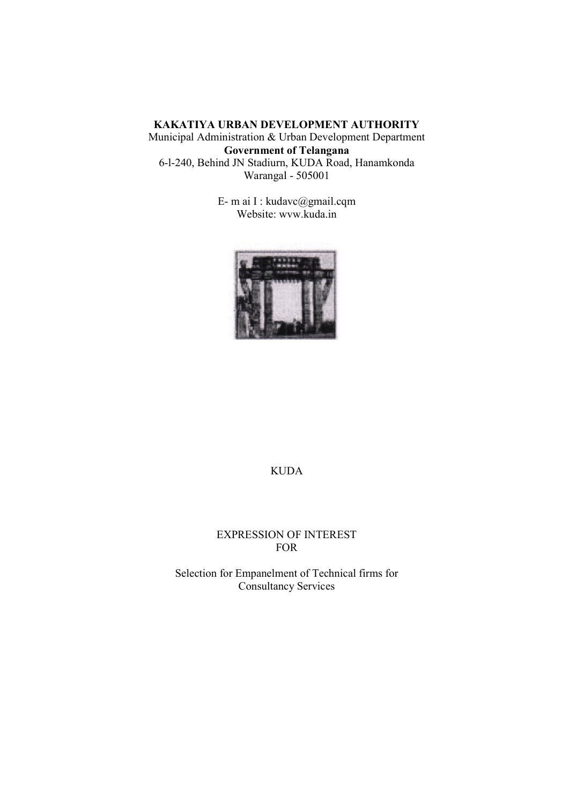### KAKATIYA URBAN DEVELOPMENT AUTHORITY Municipal Administration & Urban Development Department Government of Telangana 6-l-240, Behind JN Stadiurn, KUDA Road, Hanamkonda Warangal - 505001

E- m ai I : kudavc@gmail.cqm Website: wvw.kuda.in



### KUDA

#### EXPRESSION OF INTEREST FOR

Selection for Empanelment of Technical firms for Consultancy Services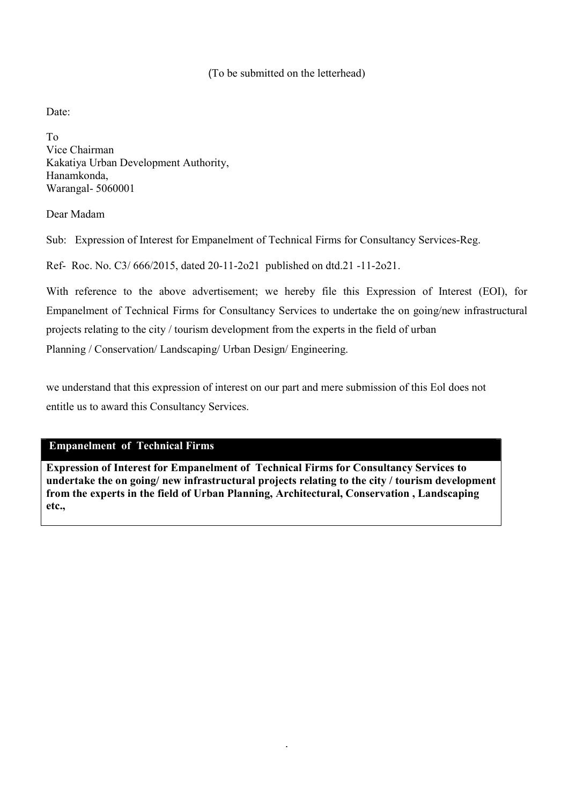### (To be submitted on the letterhead)

Date:

To Vice Chairman Kakatiya Urban Development Authority, Hanamkonda, Warangal- 5060001

Dear Madam

Sub: Expression of Interest for Empanelment of Technical Firms for Consultancy Services-Reg.

Ref- Roc. No. C3/ 666/2015, dated 20-11-2o21 published on dtd.21 -11-2o21.

With reference to the above advertisement; we hereby file this Expression of Interest (EOI), for Empanelment of Technical Firms for Consultancy Services to undertake the on going/new infrastructural projects relating to the city / tourism development from the experts in the field of urban Planning / Conservation/ Landscaping/ Urban Design/ Engineering.

we understand that this expression of interest on our part and mere submission of this Eol does not entitle us to award this Consultancy Services.

### Empanelment of Technical Firms

Expression of Interest for Empanelment of Technical Firms for Consultancy Services to undertake the on going/ new infrastructural projects relating to the city / tourism development from the experts in the field of Urban Planning, Architectural, Conservation , Landscaping etc.,

.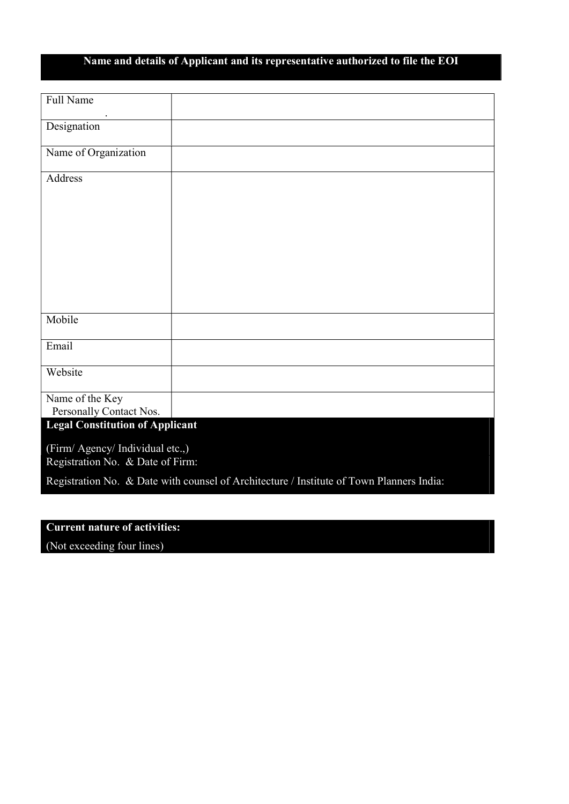# Name and details of Applicant and its representative authorized to file the EOI

| Full Name                                                                                |  |  |  |  |
|------------------------------------------------------------------------------------------|--|--|--|--|
| Designation                                                                              |  |  |  |  |
| Name of Organization                                                                     |  |  |  |  |
| Address                                                                                  |  |  |  |  |
|                                                                                          |  |  |  |  |
|                                                                                          |  |  |  |  |
|                                                                                          |  |  |  |  |
|                                                                                          |  |  |  |  |
|                                                                                          |  |  |  |  |
| Mobile                                                                                   |  |  |  |  |
| Email                                                                                    |  |  |  |  |
| Website                                                                                  |  |  |  |  |
| Name of the Key<br>Personally Contact Nos.                                               |  |  |  |  |
| <b>Legal Constitution of Applicant</b>                                                   |  |  |  |  |
| (Firm/ Agency/ Individual etc.,)                                                         |  |  |  |  |
| Registration No. & Date of Firm:                                                         |  |  |  |  |
| Registration No. & Date with counsel of Architecture / Institute of Town Planners India: |  |  |  |  |

### Current nature of activities:

(Not exceeding four lines)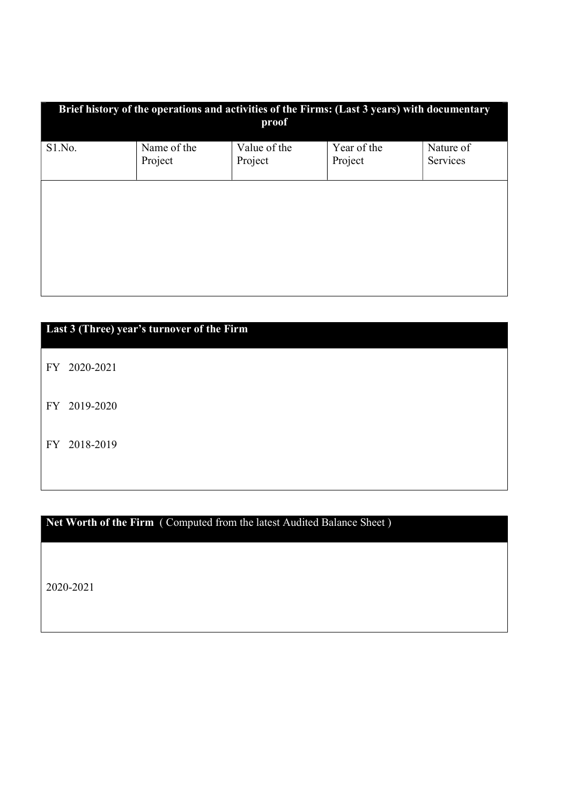| Brief history of the operations and activities of the Firms: (Last 3 years) with documentary<br>proof |                        |                         |                        |                       |  |
|-------------------------------------------------------------------------------------------------------|------------------------|-------------------------|------------------------|-----------------------|--|
| S1.No.                                                                                                | Name of the<br>Project | Value of the<br>Project | Year of the<br>Project | Nature of<br>Services |  |
|                                                                                                       |                        |                         |                        |                       |  |
|                                                                                                       |                        |                         |                        |                       |  |
|                                                                                                       |                        |                         |                        |                       |  |

## Last 3 (Three) year's turnover of the Firm

FY 2020-2021

FY 2019-2020

FY 2018-2019

## Net Worth of the Firm ( Computed from the latest Audited Balance Sheet)

2020-2021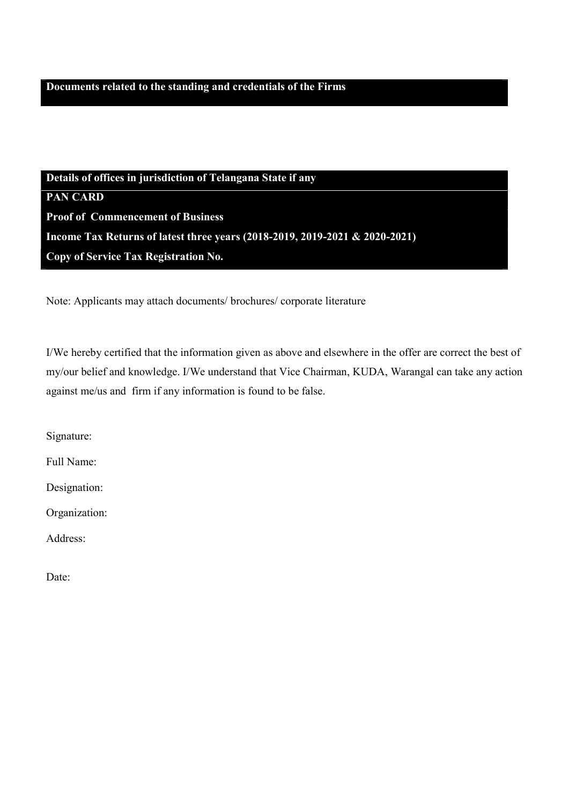Details of offices in jurisdiction of Telangana State if any PAN CARD Proof of Commencement of Business Income Tax Returns of latest three years (2018-2019, 2019-2021 & 2020-2021) Copy of Service Tax Registration No.

Note: Applicants may attach documents/ brochures/ corporate literature

I/We hereby certified that the information given as above and elsewhere in the offer are correct the best of my/our belief and knowledge. I/We understand that Vice Chairman, KUDA, Warangal can take any action against me/us and firm if any information is found to be false.

Signature:

Full Name:

Designation:

Organization:

Address:

Date: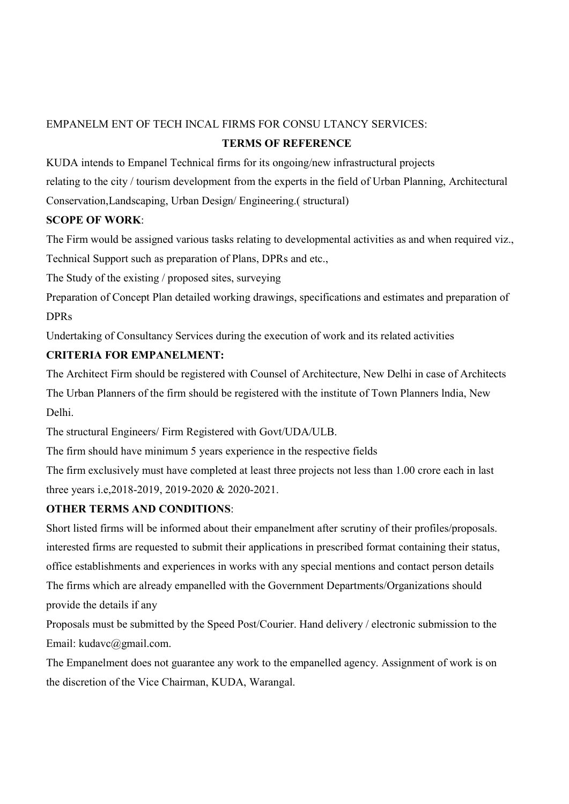### EMPANELM ENT OF TECH INCAL FIRMS FOR CONSU LTANCY SERVICES:

### TERMS OF REFERENCE

KUDA intends to Empanel Technical firms for its ongoing/new infrastructural projects

relating to the city / tourism development from the experts in the field of Urban Planning, Architectural

Conservation,Landscaping, Urban Design/ Engineering.( structural)

### SCOPE OF WORK:

The Firm would be assigned various tasks relating to developmental activities as and when required viz., Technical Support such as preparation of Plans, DPRs and etc.,

The Study of the existing / proposed sites, surveying

Preparation of Concept Plan detailed working drawings, specifications and estimates and preparation of DPRs

Undertaking of Consultancy Services during the execution of work and its related activities

### CRITERIA FOR EMPANELMENT:

The Architect Firm should be registered with Counsel of Architecture, New Delhi in case of Architects The Urban Planners of the firm should be registered with the institute of Town Planners lndia, New Delhi.

The structural Engineers/ Firm Registered with Govt/UDA/ULB.

The firm should have minimum 5 years experience in the respective fields

The firm exclusively must have completed at least three projects not less than 1.00 crore each in last three years i.e,2018-2019, 2019-2020 & 2020-2021.

### OTHER TERMS AND CONDITIONS:

Short listed firms will be informed about their empanelment after scrutiny of their profiles/proposals. interested firms are requested to submit their applications in prescribed format containing their status, office establishments and experiences in works with any special mentions and contact person details The firms which are already empanelled with the Government Departments/Organizations should provide the details if any

Proposals must be submitted by the Speed Post/Courier. Hand delivery / electronic submission to the Email: kudavc@gmail.com.

The Empanelment does not guarantee any work to the empanelled agency. Assignment of work is on the discretion of the Vice Chairman, KUDA, Warangal.